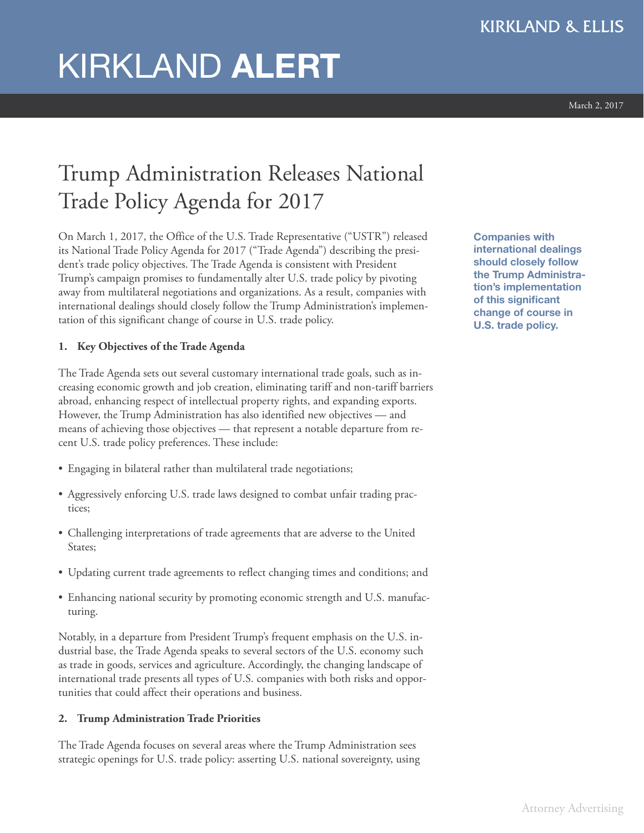# KIRKLAND **ALERT**

March 2, 2017

# Trump Administration Releases National Trade Policy Agenda for 2017

On March 1, 2017, the Office of the U.S. Trade Representative ("USTR") released its National Trade Policy Agenda for 2017 ("Trade Agenda") describing the president's trade policy objectives. The Trade Agenda is consistent with President Trump's campaign promises to fundamentally alter U.S. trade policy by pivoting away from multilateral negotiations and organizations. As a result, companies with international dealings should closely follow the Trump Administration's implementation of this significant change of course in U.S. trade policy.

# **1. Key Objectives of the Trade Agenda**

The Trade Agenda sets out several customary international trade goals, such as increasing economic growth and job creation, eliminating tariff and non-tariff barriers abroad, enhancing respect of intellectual property rights, and expanding exports. However, the Trump Administration has also identified new objectives — and means of achieving those objectives — that represent a notable departure from recent U.S. trade policy preferences. These include:

- Engaging in bilateral rather than multilateral trade negotiations;
- Aggressively enforcing U.S. trade laws designed to combat unfair trading practices;
- Challenging interpretations of trade agreements that are adverse to the United States;
- Updating current trade agreements to reflect changing times and conditions; and
- Enhancing national security by promoting economic strength and U.S. manufacturing.

Notably, in a departure from President Trump's frequent emphasis on the U.S. industrial base, the Trade Agenda speaks to several sectors of the U.S. economy such as trade in goods, services and agriculture. Accordingly, the changing landscape of international trade presents all types of U.S. companies with both risks and opportunities that could affect their operations and business.

## **2. Trump Administration Trade Priorities**

The Trade Agenda focuses on several areas where the Trump Administration sees strategic openings for U.S. trade policy: asserting U.S. national sovereignty, using **Companies with international dealings should closely follow the Trump Administration's implementation of this significant change of course in U.S. trade policy.**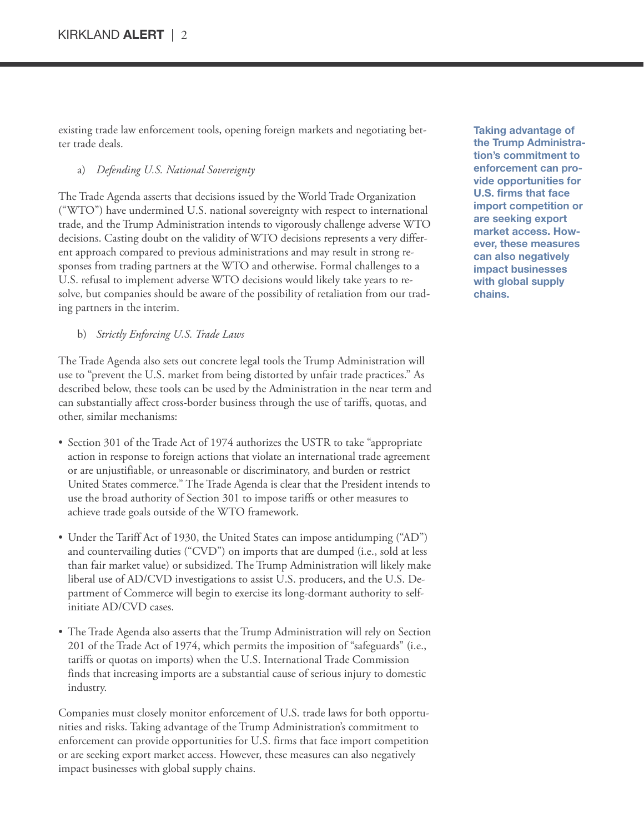existing trade law enforcement tools, opening foreign markets and negotiating better trade deals.

#### a) *Defending U.S. National Sovereignty*

The Trade Agenda asserts that decisions issued by the World Trade Organization ("WTO") have undermined U.S. national sovereignty with respect to international trade, and the Trump Administration intends to vigorously challenge adverse WTO decisions. Casting doubt on the validity of WTO decisions represents a very different approach compared to previous administrations and may result in strong responses from trading partners at the WTO and otherwise. Formal challenges to a U.S. refusal to implement adverse WTO decisions would likely take years to resolve, but companies should be aware of the possibility of retaliation from our trading partners in the interim.

b) *Strictly Enforcing U.S. Trade Laws*

The Trade Agenda also sets out concrete legal tools the Trump Administration will use to "prevent the U.S. market from being distorted by unfair trade practices." As described below, these tools can be used by the Administration in the near term and can substantially affect cross-border business through the use of tariffs, quotas, and other, similar mechanisms:

- Section 301 of the Trade Act of 1974 authorizes the USTR to take "appropriate action in response to foreign actions that violate an international trade agreement or are unjustifiable, or unreasonable or discriminatory, and burden or restrict United States commerce." The Trade Agenda is clear that the President intends to use the broad authority of Section 301 to impose tariffs or other measures to achieve trade goals outside of the WTO framework.
- Under the Tariff Act of 1930, the United States can impose antidumping ("AD") and countervailing duties ("CVD") on imports that are dumped (i.e., sold at less than fair market value) or subsidized. The Trump Administration will likely make liberal use of AD/CVD investigations to assist U.S. producers, and the U.S. Department of Commerce will begin to exercise its long-dormant authority to selfinitiate AD/CVD cases.
- The Trade Agenda also asserts that the Trump Administration will rely on Section 201 of the Trade Act of 1974, which permits the imposition of "safeguards" (i.e., tariffs or quotas on imports) when the U.S. International Trade Commission finds that increasing imports are a substantial cause of serious injury to domestic industry.

Companies must closely monitor enforcement of U.S. trade laws for both opportunities and risks. Taking advantage of the Trump Administration's commitment to enforcement can provide opportunities for U.S. firms that face import competition or are seeking export market access. However, these measures can also negatively impact businesses with global supply chains.

**Taking advantage of the Trump Administration's commitment to enforcement can provide opportunities for U.S. firms that face import competition or are seeking export market access. However, these measures can also negatively impact businesses with global supply chains.**